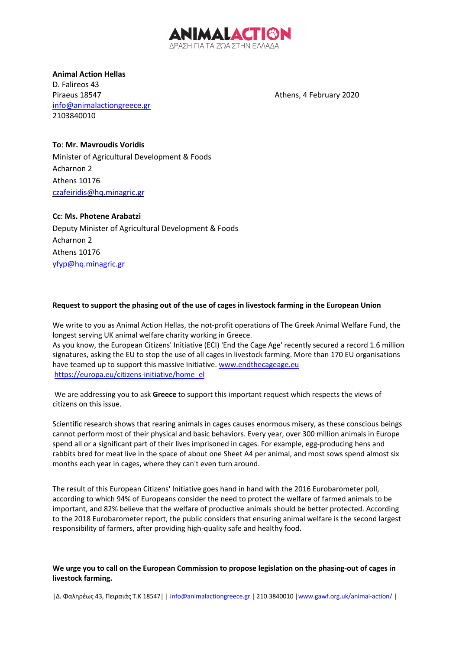

**Animal Action Hellas** D. Falireos 43 Piraeus 18547 **Athens, 4 February 2020** info@animalactiongreece.gr 2103840010

## **To**: **Mr. Mavroudis Voridis**

Minister of Agricultural Development & Foods Acharnon 2 Athens 10176 czafeiridis@hq.minagric.gr

# **Cc**: **Ms. Photene Arabatzi**

Deputy Minister of Agricultural Development & Foods Acharnon 2 Athens 10176 yfyp@hq.minagric.gr

### **Request to support the phasing out of the use of cages in livestock farming in the European Union**

We write to you as Animal Action Hellas, the not-profit operations of The Greek Animal Welfare Fund, the longest serving UK animal welfare charity working in Greece. As you know, the European Citizens' Initiative (ECI) 'End the Cage Age' recently secured a record 1.6 million signatures, asking the EU to stop the use of all cages in livestock farming. More than 170 EU organisations have teamed up to support this massive Initiative. www.endthecageage.eu https://europa.eu/citizens-initiative/home\_el

We are addressing you to ask **Greece** to support this important request which respects the views of citizens on this issue.

Scientific research shows that rearing animals in cages causes enormous misery, as these conscious beings cannot perform most of their physical and basic behaviors. Every year, over 300 million animals in Europe spend all or a significant part of their lives imprisoned in cages. For example, egg-producing hens and rabbits bred for meat live in the space of about one Sheet A4 per animal, and most sows spend almost six months each year in cages, where they can't even turn around.

The result of this European Citizens' Initiative goes hand in hand with the 2016 Eurobarometer poll, according to which 94% of Europeans consider the need to protect the welfare of farmed animals to be important, and 82% believe that the welfare of productive animals should be better protected. According to the 2018 Eurobarometer report, the public considers that ensuring animal welfare is the second largest responsibility of farmers, after providing high-quality safe and healthy food.

### We urge you to call on the European Commission to propose legislation on the phasing-out of cages in **livestock farming.**

|Δ. Φαληρέως 43, Πειραιάς T.K 18547| | info@animalactiongreece.gr | 210.3840010 |www.gawf.org.uk/animal-action/ |